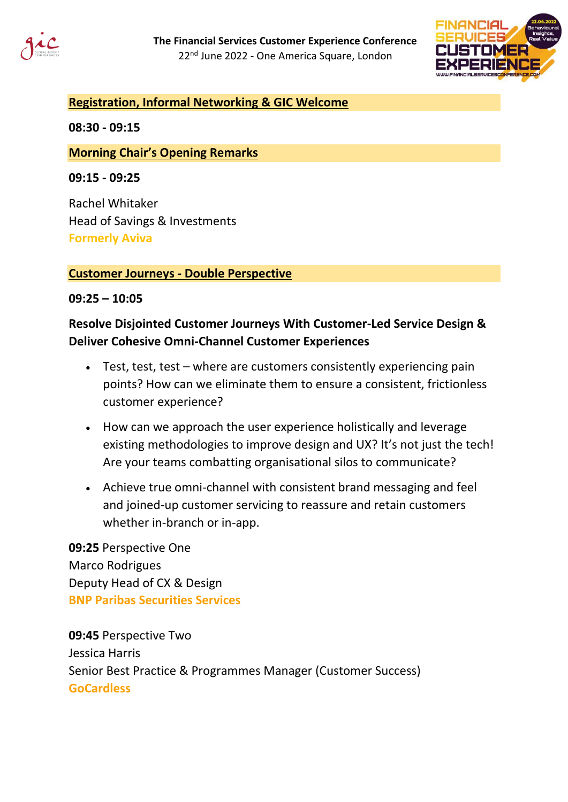



### **Registration, Informal Networking & GIC Welcome**

**08:30 - 09:15**

### **Morning Chair's Opening Remarks**

**09:15 - 09:25**

Rachel Whitaker Head of Savings & Investments **Formerly Aviva**

### **Customer Journeys - Double Perspective**

### **09:25 – 10:05**

## **Resolve Disjointed Customer Journeys With Customer-Led Service Design & Deliver Cohesive Omni-Channel Customer Experiences**

- Test, test, test where are customers consistently experiencing pain points? How can we eliminate them to ensure a consistent, frictionless customer experience?
- How can we approach the user experience holistically and leverage existing methodologies to improve design and UX? It's not just the tech! Are your teams combatting organisational silos to communicate?
- Achieve true omni-channel with consistent brand messaging and feel and joined-up customer servicing to reassure and retain customers whether in-branch or in-app.

**09:25** Perspective One Marco Rodrigues Deputy Head of CX & Design **BNP Paribas Securities Services**

**09:45** Perspective Two Jessica Harris Senior Best Practice & Programmes Manager (Customer Success) **GoCardless**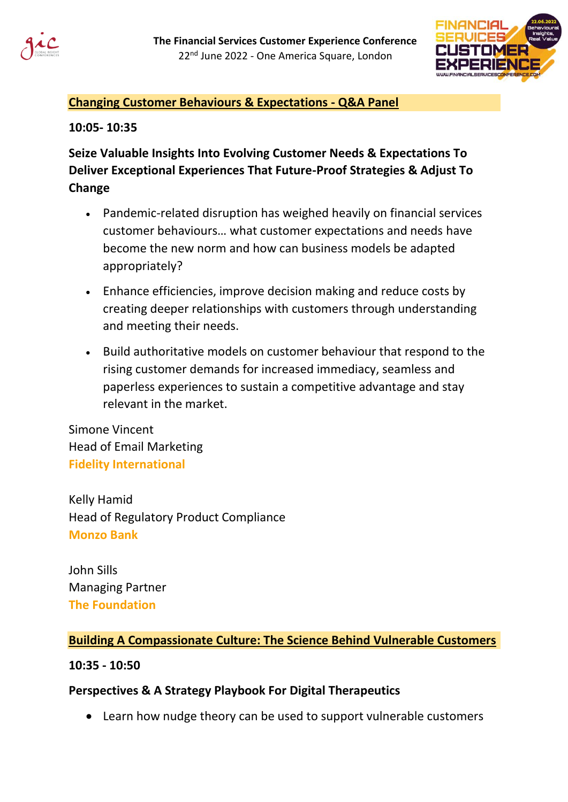



## **Changing Customer Behaviours & Expectations - Q&A Panel**

### **10:05- 10:35**

# **Seize Valuable Insights Into Evolving Customer Needs & Expectations To Deliver Exceptional Experiences That Future-Proof Strategies & Adjust To Change**

- Pandemic-related disruption has weighed heavily on financial services customer behaviours… what customer expectations and needs have become the new norm and how can business models be adapted appropriately?
- Enhance efficiencies, improve decision making and reduce costs by creating deeper relationships with customers through understanding and meeting their needs.
- Build authoritative models on customer behaviour that respond to the rising customer demands for increased immediacy, seamless and paperless experiences to sustain a competitive advantage and stay relevant in the market.

Simone Vincent Head of Email Marketing **Fidelity International**

Kelly Hamid Head of Regulatory Product Compliance **Monzo Bank**

John Sills Managing Partner **The Foundation**

## **Building A Compassionate Culture: The Science Behind Vulnerable Customers**

## **10:35 - 10:50**

## **Perspectives & A Strategy Playbook For Digital Therapeutics**

• Learn how nudge theory can be used to support vulnerable customers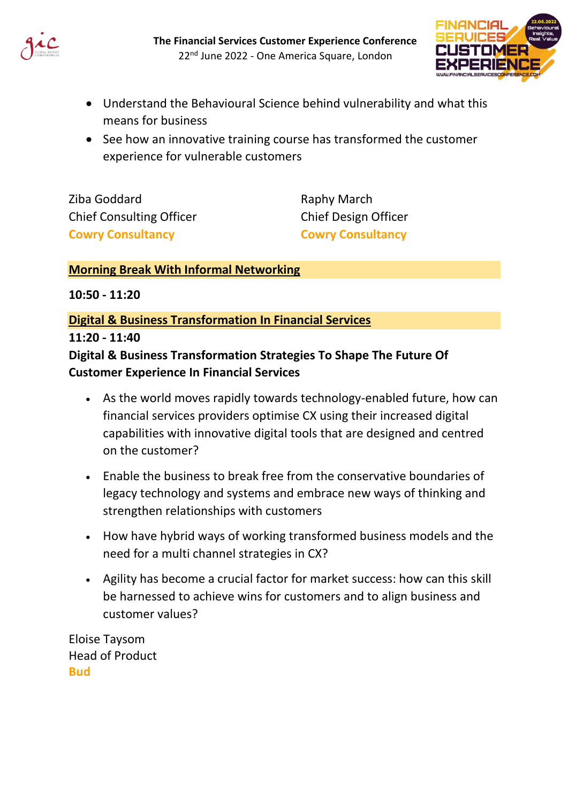



- Understand the Behavioural Science behind vulnerability and what this means for business
- See how an innovative training course has transformed the customer experience for vulnerable customers

Ziba Goddard Chief Consulting Officer **Cowry Consultancy**

Raphy March Chief Design Officer **Cowry Consultancy**

## **Morning Break With Informal Networking**

**10:50 - 11:20**

## **Digital & Business Transformation In Financial Services**

**11:20 - 11:40**

## **Digital & Business Transformation Strategies To Shape The Future Of Customer Experience In Financial Services**

- As the world moves rapidly towards technology-enabled future, how can financial services providers optimise CX using their increased digital capabilities with innovative digital tools that are designed and centred on the customer?
- Enable the business to break free from the conservative boundaries of legacy technology and systems and embrace new ways of thinking and strengthen relationships with customers
- How have hybrid ways of working transformed business models and the need for a multi channel strategies in CX?
- Agility has become a crucial factor for market success: how can this skill be harnessed to achieve wins for customers and to align business and customer values?

Eloise Taysom Head of Product **Bud**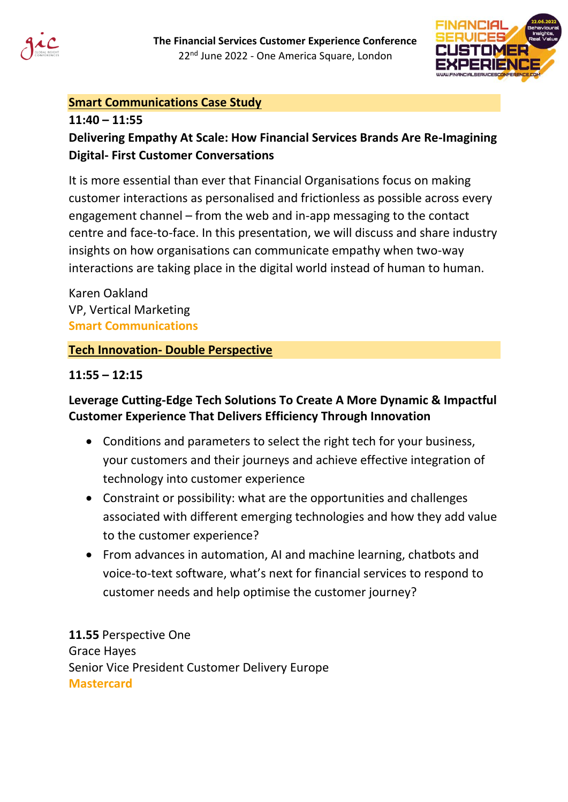



## **Smart Communications Case Study**

## **11:40 – 11:55 Delivering Empathy At Scale: How Financial Services Brands Are Re-Imagining Digital- First Customer Conversations**

It is more essential than ever that Financial Organisations focus on making customer interactions as personalised and frictionless as possible across every engagement channel – from the web and in-app messaging to the contact centre and face-to-face. In this presentation, we will discuss and share industry insights on how organisations can communicate empathy when two-way interactions are taking place in the digital world instead of human to human.

Karen Oakland VP, Vertical Marketing **Smart Communications**

## **Tech Innovation- Double Perspective**

## **11:55 – 12:15**

# **Leverage Cutting-Edge Tech Solutions To Create A More Dynamic & Impactful Customer Experience That Delivers Efficiency Through Innovation**

- Conditions and parameters to select the right tech for your business, your customers and their journeys and achieve effective integration of technology into customer experience
- Constraint or possibility: what are the opportunities and challenges associated with different emerging technologies and how they add value to the customer experience?
- From advances in automation, AI and machine learning, chatbots and voice-to-text software, what's next for financial services to respond to customer needs and help optimise the customer journey?

**11.55** Perspective One Grace Hayes Senior Vice President Customer Delivery Europe **Mastercard**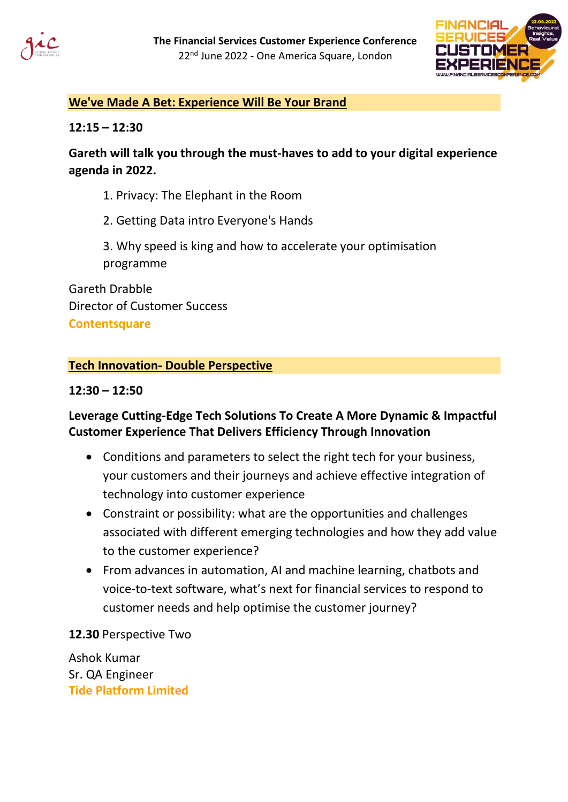



## **We've Made A Bet: Experience Will Be Your Brand**

### **12:15 – 12:30**

## **Gareth will talk you through the must-haves to add to your digital experience agenda in 2022.**

- 1. Privacy: The Elephant in the Room
- 2. Getting Data intro Everyone's Hands
- 3. Why speed is king and how to accelerate your optimisation programme

Gareth Drabble Director of Customer Success **Contentsquare**

## **Tech Innovation- Double Perspective**

### **12:30 – 12:50**

## **Leverage Cutting-Edge Tech Solutions To Create A More Dynamic & Impactful Customer Experience That Delivers Efficiency Through Innovation**

- Conditions and parameters to select the right tech for your business, your customers and their journeys and achieve effective integration of technology into customer experience
- Constraint or possibility: what are the opportunities and challenges associated with different emerging technologies and how they add value to the customer experience?
- From advances in automation, AI and machine learning, chatbots and voice-to-text software, what's next for financial services to respond to customer needs and help optimise the customer journey?

**12.30** Perspective Two

Ashok Kumar Sr. QA Engineer **Tide Platform Limited**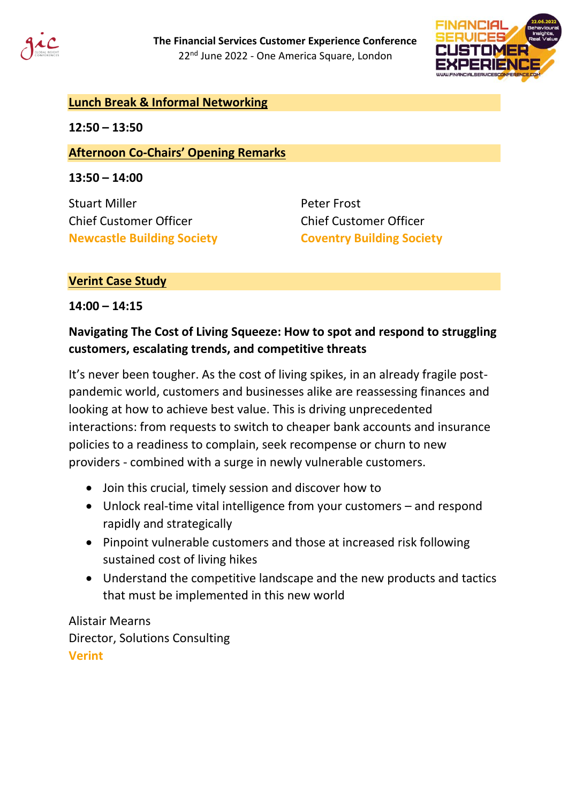



## **Lunch Break & Informal Networking**

**12:50 – 13:50**

### **Afternoon Co-Chairs' Opening Remarks**

**13:50 – 14:00**

Stuart Miller Chief Customer Officer **Newcastle Building Society**

Peter Frost Chief Customer Officer **Coventry Building Society**

### **Verint Case Study**

**14:00 – 14:15**

## **Navigating The Cost of Living Squeeze: How to spot and respond to struggling customers, escalating trends, and competitive threats**

It's never been tougher. As the cost of living spikes, in an already fragile postpandemic world, customers and businesses alike are reassessing finances and looking at how to achieve best value. This is driving unprecedented interactions: from requests to switch to cheaper bank accounts and insurance policies to a readiness to complain, seek recompense or churn to new providers - combined with a surge in newly vulnerable customers.

- Join this crucial, timely session and discover how to
- Unlock real-time vital intelligence from your customers and respond rapidly and strategically
- Pinpoint vulnerable customers and those at increased risk following sustained cost of living hikes
- Understand the competitive landscape and the new products and tactics that must be implemented in this new world

Alistair Mearns Director, Solutions Consulting **Verint**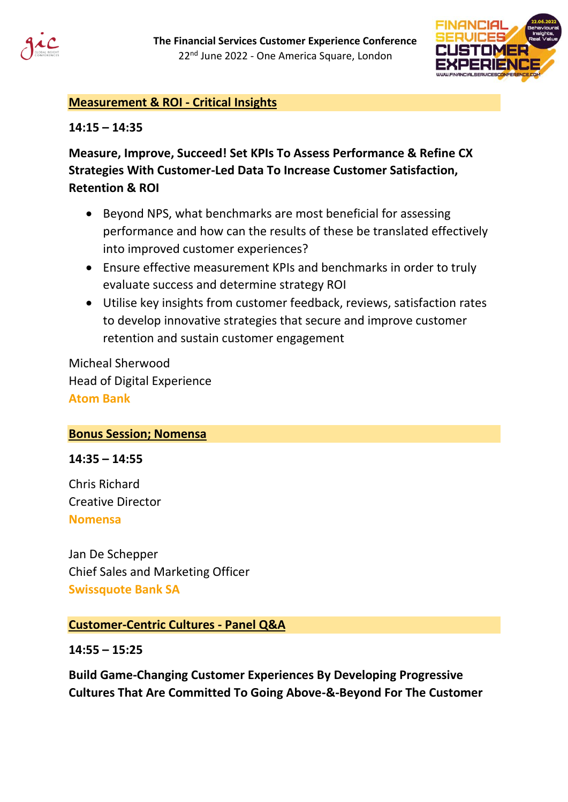



## **Measurement & ROI - Critical Insights**

**14:15 – 14:35**

**Measure, Improve, Succeed! Set KPIs To Assess Performance & Refine CX Strategies With Customer-Led Data To Increase Customer Satisfaction, Retention & ROI**

- Beyond NPS, what benchmarks are most beneficial for assessing performance and how can the results of these be translated effectively into improved customer experiences?
- Ensure effective measurement KPIs and benchmarks in order to truly evaluate success and determine strategy ROI
- Utilise key insights from customer feedback, reviews, satisfaction rates to develop innovative strategies that secure and improve customer retention and sustain customer engagement

Micheal Sherwood Head of Digital Experience **Atom Bank**

### **Bonus Session; Nomensa**

**14:35 – 14:55**

Chris Richard Creative Director **Nomensa**

Jan De Schepper Chief Sales and Marketing Officer **Swissquote Bank SA** 

### **Customer-Centric Cultures - Panel Q&A**

**14:55 – 15:25**

**Build Game-Changing Customer Experiences By Developing Progressive Cultures That Are Committed To Going Above-&-Beyond For The Customer**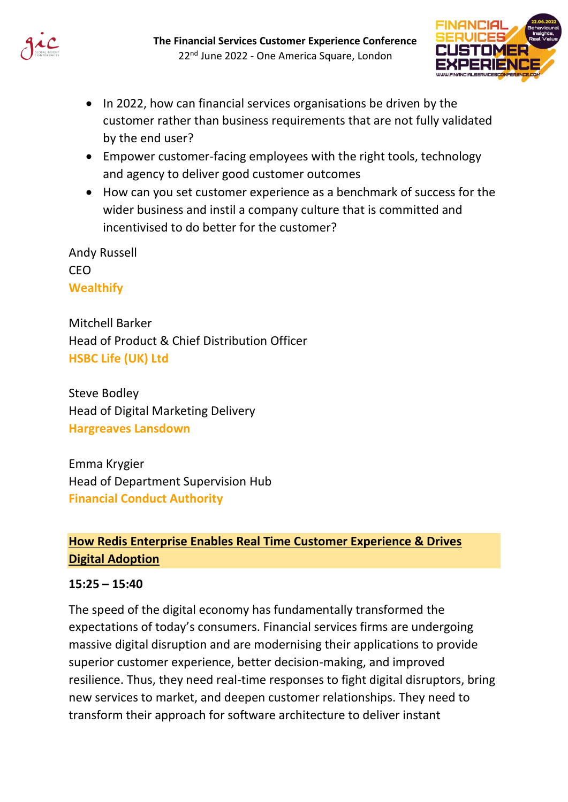



- In 2022, how can financial services organisations be driven by the customer rather than business requirements that are not fully validated by the end user?
- Empower customer-facing employees with the right tools, technology and agency to deliver good customer outcomes
- How can you set customer experience as a benchmark of success for the wider business and instil a company culture that is committed and incentivised to do better for the customer?

Andy Russell CEO **Wealthify**

Mitchell Barker Head of Product & Chief Distribution Officer **HSBC Life (UK) Ltd**

Steve Bodley Head of Digital Marketing Delivery **Hargreaves Lansdown**

Emma Krygier Head of Department Supervision Hub **Financial Conduct Authority**

## **How Redis Enterprise Enables Real Time Customer Experience & Drives Digital Adoption**

## **15:25 – 15:40**

The speed of the digital economy has fundamentally transformed the expectations of today's consumers. Financial services firms are undergoing massive digital disruption and are modernising their applications to provide superior customer experience, better decision-making, and improved resilience. Thus, they need real-time responses to fight digital disruptors, bring new services to market, and deepen customer relationships. They need to transform their approach for software architecture to deliver instant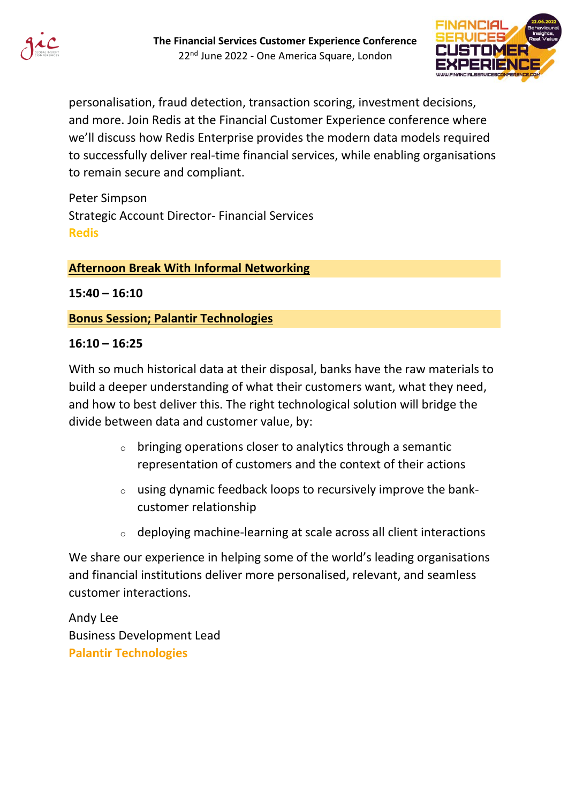



personalisation, fraud detection, transaction scoring, investment decisions, and more. Join Redis at the Financial Customer Experience conference where we'll discuss how Redis Enterprise provides the modern data models required to successfully deliver real-time financial services, while enabling organisations to remain secure and compliant.

Peter Simpson Strategic Account Director- Financial Services **Redis**

### **Afternoon Break With Informal Networking**

**15:40 – 16:10**

### **Bonus Session; Palantir Technologies**

#### **16:10 – 16:25**

With so much historical data at their disposal, banks have the raw materials to build a deeper understanding of what their customers want, what they need, and how to best deliver this. The right technological solution will bridge the divide between data and customer value, by:

- $\circ$  bringing operations closer to analytics through a semantic representation of customers and the context of their actions
- $\circ$  using dynamic feedback loops to recursively improve the bankcustomer relationship
- o deploying machine-learning at scale across all client interactions

We share our experience in helping some of the world's leading organisations and financial institutions deliver more personalised, relevant, and seamless customer interactions.

Andy Lee Business Development Lead **Palantir Technologies**